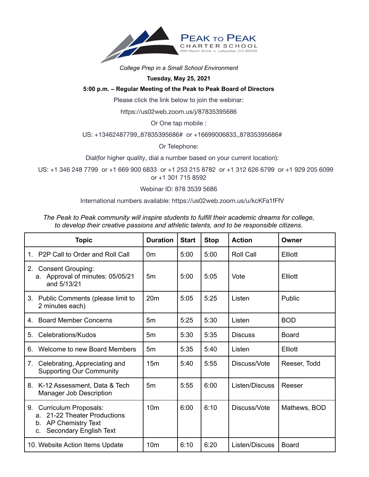

### *College Prep in a Small School Environment*

# **Tuesday, May 25, 2021**

# **5:00 p.m. – Regular Meeting of the Peak to Peak Board of Directors**

Please click the link below to join the webinar:

https://us02web.zoom.us/j/87835395686

Or One tap mobile :

### US: +13462487799,,87835395686# or +16699006833,,87835395686#

Or Telephone:

Dial(for higher quality, dial a number based on your current location):

US: +1 346 248 7799 or +1 669 900 6833 or +1 253 215 8782 or +1 312 626 6799 or +1 929 205 6099 or +1 301 715 8592

Webinar ID: 878 3539 5686

International numbers available: https://us02web.zoom.us/u/kcKFa1fFfV

| The Peak to Peak community will inspire students to fulfill their academic dreams for college, |
|------------------------------------------------------------------------------------------------|
| to develop their creative passions and athletic talents, and to be responsible citizens.       |

| <b>Topic</b>                                                                                                                  | <b>Duration</b> | <b>Start</b> | <b>Stop</b> | <b>Action</b>    | Owner        |
|-------------------------------------------------------------------------------------------------------------------------------|-----------------|--------------|-------------|------------------|--------------|
| P2P Call to Order and Roll Call<br>1                                                                                          | 0m              | 5:00         | 5:00        | <b>Roll Call</b> | Elliott      |
| <b>Consent Grouping:</b><br>2.<br>Approval of minutes: 05/05/21<br>a.<br>and 5/13/21                                          | 5 <sub>m</sub>  | 5:00         | 5:05        | Vote             | Elliott      |
| 3. Public Comments (please limit to<br>2 minutes each)                                                                        | 20 <sub>m</sub> | 5:05         | 5:25        | Listen           | Public       |
| <b>Board Member Concerns</b><br>$4_{-}$                                                                                       | 5 <sub>m</sub>  | 5:25         | 5:30        | Listen           | <b>BOD</b>   |
| Celebrations/Kudos<br>5.                                                                                                      | 5m              | 5:30         | 5:35        | <b>Discuss</b>   | <b>Board</b> |
| Welcome to new Board Members<br>6.                                                                                            | 5m              | 5:35         | 5:40        | Listen           | Elliott      |
| Celebrating, Appreciating and<br>7.<br><b>Supporting Our Community</b>                                                        | 15 <sub>m</sub> | 5:40         | 5:55        | Discuss/Vote     | Reeser, Todd |
| 8. K-12 Assessment, Data & Tech<br><b>Manager Job Description</b>                                                             | 5 <sub>m</sub>  | 5:55         | 6:00        | Listen/Discuss   | Reeser       |
| <b>Curriculum Proposals:</b><br>9.<br>21-22 Theater Productions<br>a.<br>b. AP Chemistry Text<br>Secondary English Text<br>C. | 10 <sub>m</sub> | 6:00         | 6:10        | Discuss/Vote     | Mathews, BOD |
| 10. Website Action Items Update                                                                                               | 10 <sub>m</sub> | 6:10         | 6:20        | Listen/Discuss   | <b>Board</b> |